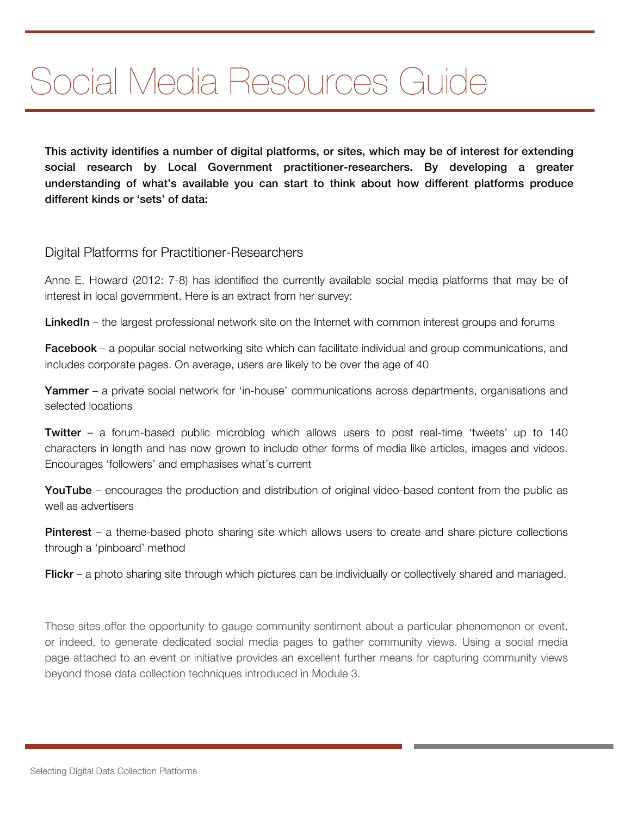# Social Media Resources Guide

This activity identifies a number of digital platforms, or sites, which may be of interest for extending social research by Local Government practitioner-researchers. By developing a greater understanding of what's available you can start to think about how different platforms produce different kinds or 'sets' of data:

#### Digital Platforms for Practitioner-Researchers

Anne E. Howard (2012: 7-8) has identified the currently available social media platforms that may be of interest in local government. Here is an extract from her survey:

LinkedIn – the largest professional network site on the Internet with common interest groups and forums

**Facebook** – a popular social networking site which can facilitate individual and group communications, and includes corporate pages. On average, users are likely to be over the age of 40

Yammer – a private social network for 'in-house' communications across departments, organisations and selected locations

Twitter – a forum-based public microblog which allows users to post real-time 'tweets' up to 140 characters in length and has now grown to include other forms of media like articles, images and videos. Encourages 'followers' and emphasises what's current

YouTube – encourages the production and distribution of original video-based content from the public as well as advertisers

Pinterest – a theme-based photo sharing site which allows users to create and share picture collections through a 'pinboard' method

Flickr – a photo sharing site through which pictures can be individually or collectively shared and managed.

These sites offer the opportunity to gauge community sentiment about a particular phenomenon or event, or indeed, to generate dedicated social media pages to gather community views. Using a social media page attached to an event or initiative provides an excellent further means for capturing community views beyond those data collection techniques introduced in Module 3.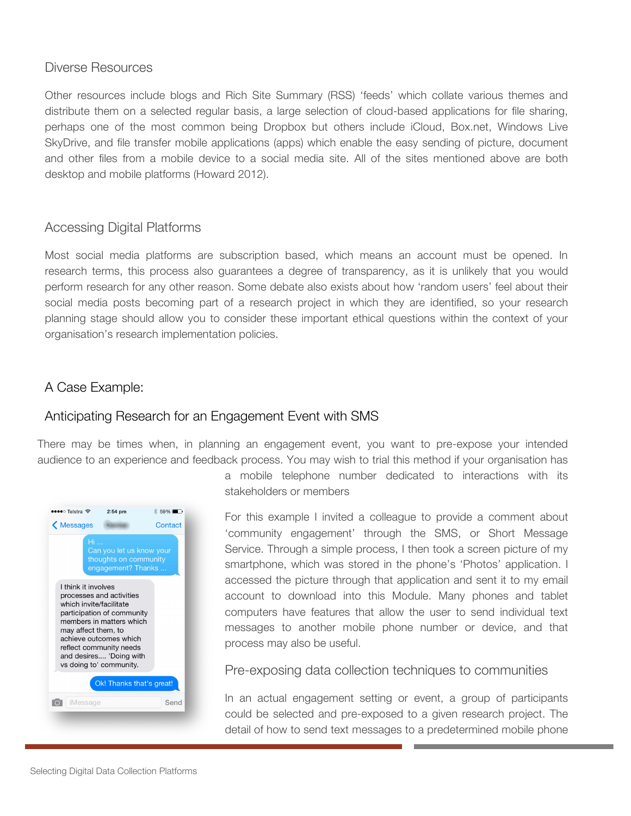#### Diverse Resources

Other resources include blogs and Rich Site Summary (RSS) 'feeds' which collate various themes and distribute them on a selected regular basis, a large selection of cloud-based applications for file sharing, perhaps one of the most common being Dropbox but others include iCloud, Box.net, Windows Live SkyDrive, and file transfer mobile applications (apps) which enable the easy sending of picture, document and other files from a mobile device to a social media site. All of the sites mentioned above are both desktop and mobile platforms (Howard 2012).

## Accessing Digital Platforms

Most social media platforms are subscription based, which means an account must be opened. In research terms, this process also guarantees a degree of transparency, as it is unlikely that you would perform research for any other reason. Some debate also exists about how 'random users' feel about their social media posts becoming part of a research project in which they are identified, so your research planning stage should allow you to consider these important ethical questions within the context of your organisation's research implementation policies.

# A Case Example:

# Anticipating Research for an Engagement Event with SMS

There may be times when, in planning an engagement event, you want to pre-expose your intended audience to an experience and feedback process. You may wish to trial this method if your organisation has



a mobile telephone number dedicated to interactions with its stakeholders or members

For this example I invited a colleague to provide a comment about 'community engagement' through the SMS, or Short Message Service. Through a simple process, I then took a screen picture of my smartphone, which was stored in the phone's 'Photos' application. I accessed the picture through that application and sent it to my email account to download into this Module. Many phones and tablet computers have features that allow the user to send individual text messages to another mobile phone number or device, and that process may also be useful.

Pre-exposing data collection techniques to communities

In an actual engagement setting or event, a group of participants could be selected and pre-exposed to a given research project. The detail of how to send text messages to a predetermined mobile phone